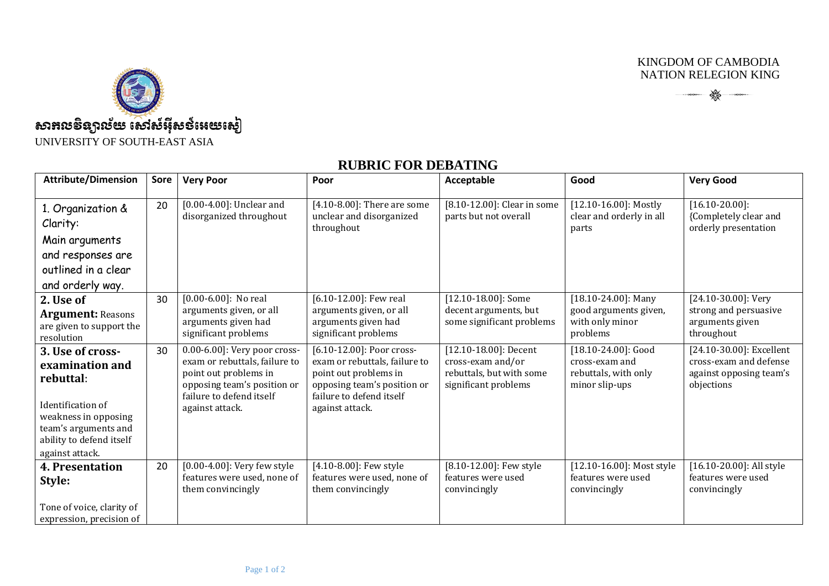KINGDOM OF CAMBODIA NATION RELEGION KING

 $\begin{picture}(180,10) \put(0,0){\vector(1,0){100}} \put(10,0){\vector(1,0){100}} \put(10,0){\vector(1,0){100}} \put(10,0){\vector(1,0){100}} \put(10,0){\vector(1,0){100}} \put(10,0){\vector(1,0){100}} \put(10,0){\vector(1,0){100}} \put(10,0){\vector(1,0){100}} \put(10,0){\vector(1,0){100}} \put(10,0){\vector(1,0){100}} \put(10,0){\vector(1,0){100}}$ 



UNIVERSITY OF SOUTH-EAST ASIA

## **RUBRIC FOR DEBATING**

| <b>Attribute/Dimension</b>                                                                                                                                           | Sore | <b>Very Poor</b>                                                                                                                                                     | Poor                                                                                                                                                              | Acceptable                                                                                          | Good                                                                             | <b>Very Good</b>                                                                            |
|----------------------------------------------------------------------------------------------------------------------------------------------------------------------|------|----------------------------------------------------------------------------------------------------------------------------------------------------------------------|-------------------------------------------------------------------------------------------------------------------------------------------------------------------|-----------------------------------------------------------------------------------------------------|----------------------------------------------------------------------------------|---------------------------------------------------------------------------------------------|
| 1. Organization &<br>Clarity:<br>Main arguments<br>and responses are<br>outlined in a clear<br>and orderly way.                                                      | 20   | $[0.00-4.00]$ : Unclear and<br>disorganized throughout                                                                                                               | [4.10-8.00]: There are some<br>unclear and disorganized<br>throughout                                                                                             | [8.10-12.00]: Clear in some<br>parts but not overall                                                | $[12.10 - 16.00]$ : Mostly<br>clear and orderly in all<br>parts                  | $[16.10-20.00]$ :<br>{Completely clear and<br>orderly presentation                          |
| 2. Use of<br><b>Argument: Reasons</b><br>are given to support the<br>resolution                                                                                      | 30   | $[0.00 - 6.00]$ : No real<br>arguments given, or all<br>arguments given had<br>significant problems                                                                  | [6.10-12.00]: Few real<br>arguments given, or all<br>arguments given had<br>significant problems                                                                  | [12.10-18.00]: Some<br>decent arguments, but<br>some significant problems                           | $[18.10 - 24.00]$ : Many<br>good arguments given,<br>with only minor<br>problems | [24.10-30.00]: Very<br>strong and persuasive<br>arguments given<br>throughout               |
| 3. Use of cross-<br>examination and<br>rebuttal:<br>Identification of<br>weakness in opposing<br>team's arguments and<br>ability to defend itself<br>against attack. | 30   | 0.00-6.00]: Very poor cross-<br>exam or rebuttals, failure to<br>point out problems in<br>opposing team's position or<br>failure to defend itself<br>against attack. | [6.10-12.00]: Poor cross-<br>exam or rebuttals, failure to<br>point out problems in<br>opposing team's position or<br>failure to defend itself<br>against attack. | $[12.10 - 18.00]$ : Decent<br>cross-exam and/or<br>rebuttals, but with some<br>significant problems | [18.10-24.00]: Good<br>cross-exam and<br>rebuttals, with only<br>minor slip-ups  | [24.10-30.00]: Excellent<br>cross-exam and defense<br>against opposing team's<br>objections |
| 4. Presentation<br>Style:<br>Tone of voice, clarity of<br>expression, precision of                                                                                   | 20   | $[0.00-4.00]$ : Very few style<br>features were used, none of<br>them convincingly                                                                                   | [4.10-8.00]: Few style<br>features were used, none of<br>them convincingly                                                                                        | [8.10-12.00]: Few style<br>features were used<br>convincingly                                       | [12.10-16.00]: Most style<br>features were used<br>convincingly                  | [16.10-20.00]: All style<br>features were used<br>convincingly                              |